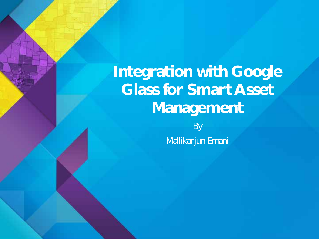**Integration with Google Glass for Smart Asset Management** By Mallikarjun Emani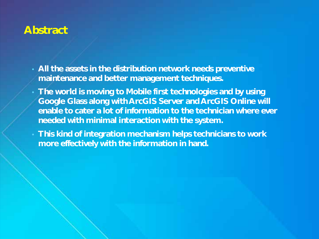#### **Abstract**

- **All the assets in the distribution network needs preventive maintenance and better management techniques.**
- **The world is moving to Mobile first technologies and by using Google Glass along with ArcGIS Server and ArcGIS Online will enable to cater a lot of information to the technician where ever needed with minimal interaction with the system.**
- **This kind of integration mechanism helps technicians to work more effectively with the information in hand.**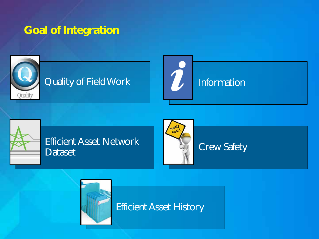#### **Goal of Integration**







# Efficient Asset Network Emcient Asset Ivetwork | 2008 Crew Safety



#### Efficient Asset History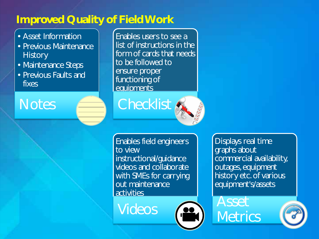# **Improved Quality of Field Work**

- Asset Information
- Previous Maintenance **History**
- Maintenance Steps
- Previous Faults and fixes

# **Notes**

Enables users to see a list of instructions in the form of cards that needs to be followed to ensure proper functioning of equipments



1888<sub>RP</sub>

Enables field engineers to view instructional/guidance videos and collaborate with SMEs for carrying out maintenance **activities** 

Videos

Displays real time graphs about commercial availability, outages, equipment history etc. of various equipment's/assets

Asset **Metrics** 

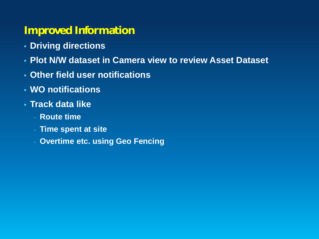#### **Improved Information**

- **Driving directions**
- **Plot N/W dataset in Camera view to review Asset Dataset**
- **Other field user notifications**
- **WO notifications**
- **Track data like** 
	- **Route time**
	- **Time spent at site**
	- **Overtime etc. using Geo Fencing**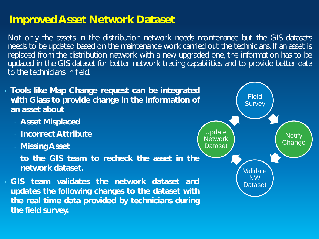#### **Improved Asset Network Dataset**

Not only the assets in the distribution network needs maintenance but the GIS datasets needs to be updated based on the maintenance work carried out the technicians. If an asset is replaced from the distribution network with a new upgraded one, the information has to be updated in the GIS dataset for better network tracing capabilities and to provide better data to the technicians in field.

• **Tools like Map Change request can be integrated with Glass to provide change in the information of an asset about** - **Asset Misplaced** - **Incorrect Attribute** - **Missing Asset to the GIS team to recheck the asset in the network dataset.** • **GIS team validates the network dataset and updates the following changes to the dataset with the real time data provided by technicians during the field survey.** Field **Survey Notify Change Validate** NW Dataset **Update Network Dataset**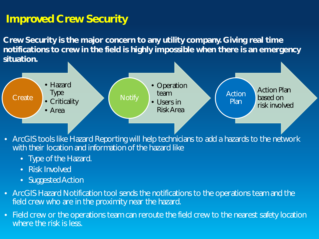#### **Improved Crew Security**

**Crew Security is the major concern to any utility company. Giving real time notifications to crew in the field is highly impossible when there is an emergency situation.**



• ArcGIS tools like Hazard Reporting will help technicians to add a hazards to the network with their location and information of the hazard like

- Type of the Hazard.
- Risk Involved
- Suggested Action
- ArcGIS Hazard Notification tool sends the notifications to the operations team and the field crew who are in the proximity near the hazard.
- Field crew or the operations team can reroute the field crew to the nearest safety location where the risk is less.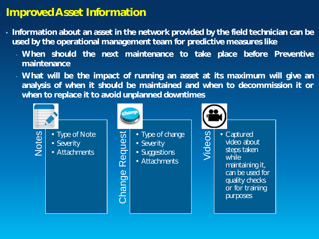# **Improved Asset Information**

- **Information about an asset in the network provided by the field technician can be used by the operational management team for predictive measures like**
	- **When should the next maintenance to take place before Preventive maintenance**
	- **What will be the impact of running an asset at its maximum will give an analysis of when it should be maintained and when to decommission it or when to replace it to avoid unplanned downtimes**

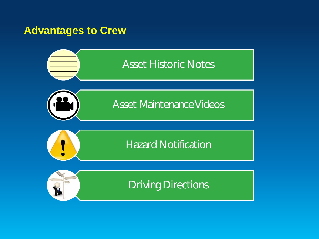### **Advantages to Crew**

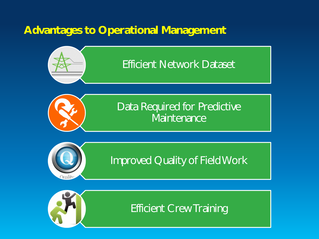# **Advantages to Operational Management**

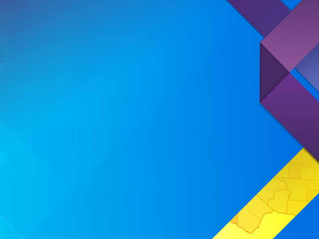